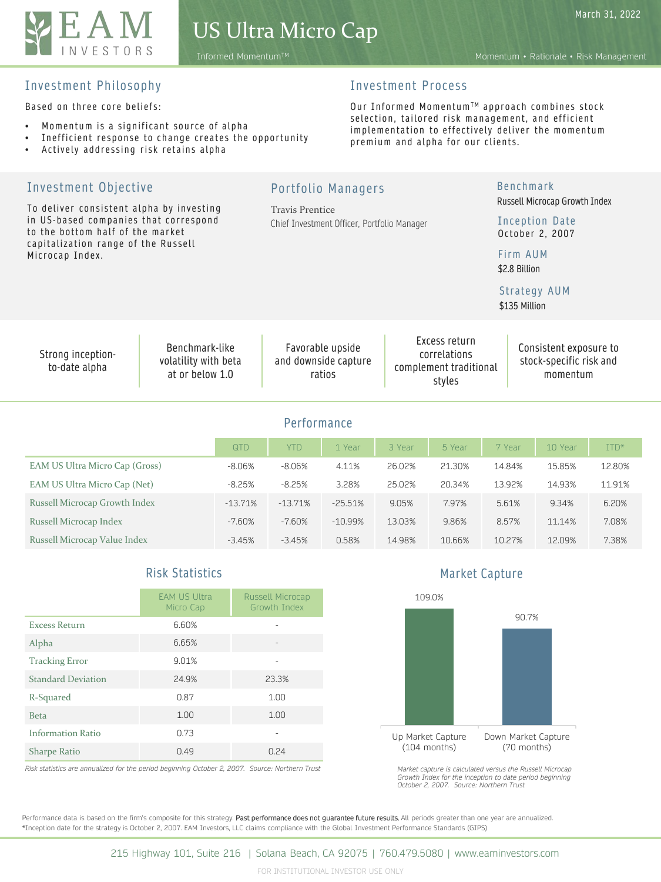

Informed MomentumTM Momentum • Rationale • Risk Management

## Investment Philosophy

Based on three core beliefs:

- Momentum is a significant source of alpha
- Inefficient response to change creates the opportunity
- Actively addressing risk retains alpha

# Investment Process

Our Informed Momentum™ approach combines stock selection, tailored risk management, and efficient implementation to effectively deliver the momentum premium and alpha for our clients.

| Investment Objective<br>To deliver consistent alpha by investing<br>in US-based companies that correspond<br>to the bottom half of the market<br>capitalization range of the Russell<br>Microcap Index. |           | <b>Travis Prentice</b> | <b>Portfolio Managers</b><br>Chief Investment Officer, Portfolio Manager |        |                                                                   | <b>Benchmark</b><br>Firm AUM<br>\$2.8 Billion<br>Strategy AUM<br>\$135 Million | Russell Microcap Growth Index<br>Inception Date<br>October 2, 2007 |        |  |  |  |
|---------------------------------------------------------------------------------------------------------------------------------------------------------------------------------------------------------|-----------|------------------------|--------------------------------------------------------------------------|--------|-------------------------------------------------------------------|--------------------------------------------------------------------------------|--------------------------------------------------------------------|--------|--|--|--|
| Benchmark-like<br>Strong inception-<br>volatility with beta<br>to-date alpha<br>at or below 1.0                                                                                                         |           |                        | Favorable upside<br>and downside capture<br>ratios                       |        | Excess return<br>correlations<br>complement traditional<br>styles |                                                                                | Consistent exposure to<br>stock-specific risk and<br>momentum      |        |  |  |  |
| Performance                                                                                                                                                                                             |           |                        |                                                                          |        |                                                                   |                                                                                |                                                                    |        |  |  |  |
|                                                                                                                                                                                                         | QTD       | <b>YTD</b>             | 1 Year                                                                   | 3 Year | 5 Year                                                            | 7 Year                                                                         | 10 Year                                                            | ITD*   |  |  |  |
| EAM US Ultra Micro Cap (Gross)                                                                                                                                                                          | $-8.06%$  | $-8.06%$               | 4.11%                                                                    | 26.02% | 21.30%                                                            | 14.84%                                                                         | 15.85%                                                             | 12.80% |  |  |  |
| EAM US Ultra Micro Cap (Net)                                                                                                                                                                            | $-8.25%$  | $-8.25%$               | 3.28%                                                                    | 25.02% | 20.34%                                                            | 13.92%                                                                         | 14.93%                                                             | 11.91% |  |  |  |
| Russell Microcap Growth Index                                                                                                                                                                           | $-13.71%$ | $-13.71%$              | $-25.51%$                                                                | 9.05%  | 7.97%                                                             | 5.61%                                                                          | 9.34%                                                              | 6.20%  |  |  |  |
| Russell Microcap Index                                                                                                                                                                                  | $-7.60%$  | $-7.60%$               | $-10.99%$                                                                | 13.03% | 9.86%                                                             | 8.57%                                                                          | 11.14%                                                             | 7.08%  |  |  |  |
| Russell Microcap Value Index                                                                                                                                                                            | $-3.45%$  | $-3.45%$               | 0.58%                                                                    | 14.98% | 10.66%                                                            | 10.27%                                                                         | 12.09%                                                             | 7.38%  |  |  |  |

# Risk Statistics

|                           | <b>EAM US Ultra</b><br>Micro Cap | Russell Microcap<br>Growth Tndex |
|---------------------------|----------------------------------|----------------------------------|
| <b>Excess Return</b>      | 6.60%                            |                                  |
| Alpha                     | 6.65%                            |                                  |
| <b>Tracking Error</b>     | 9.01%                            |                                  |
| <b>Standard Deviation</b> | 24.9%                            | 23.3%                            |
| R-Squared                 | 0.87                             | 1.00                             |
| <b>Beta</b>               | 1.00                             | 1.00                             |
| <b>Information Ratio</b>  | 0.73                             |                                  |
| <b>Sharpe Ratio</b>       | 0.49                             | 0.24                             |

*Risk statistics are annualized for the period beginning October 2, 2007. Source: Northern Trust*

Market Capture



*Market capture is calculated versus the Russell Microcap Growth Index for the inception to date period beginning October 2, 2007. Source: Northern Trust*

Performance data is based on the firm's composite for this strategy. Past performance does not guarantee future results. All periods greater than one year are annualized. \*Inception date for the strategy is October 2, 2007. EAM Investors, LLC claims compliance with the Global Investment Performance Standards (GIPS)